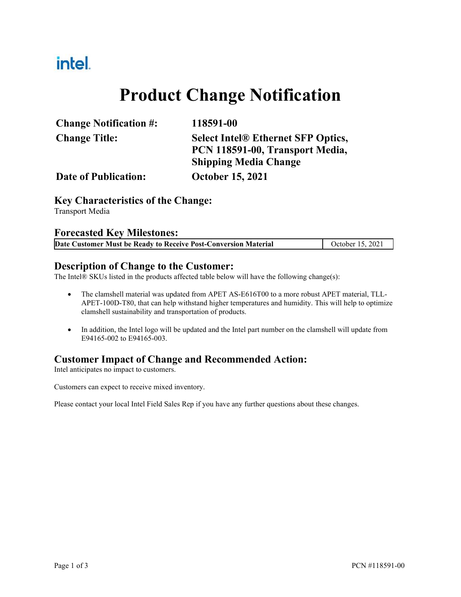# intel.

# **Product Change Notification**

| <b>Change Notification #:</b> | 118591-00                                 |
|-------------------------------|-------------------------------------------|
| <b>Change Title:</b>          | <b>Select Intel® Ethernet SFP Optics,</b> |
|                               | PCN 118591-00, Transport Media,           |
|                               | <b>Shipping Media Change</b>              |
| Date of Publication:          | <b>October 15, 2021</b>                   |

#### **Key Characteristics of the Change:**

Transport Media

#### **Forecasted Key Milestones:**

#### **Description of Change to the Customer:**

The Intel® SKUs listed in the products affected table below will have the following change(s):

- The clamshell material was updated from APET AS-E616T00 to a more robust APET material, TLL-APET-100D-T80, that can help withstand higher temperatures and humidity. This will help to optimize clamshell sustainability and transportation of products.
- In addition, the Intel logo will be updated and the Intel part number on the clamshell will update from E94165-002 to E94165-003.

#### **Customer Impact of Change and Recommended Action:**

Intel anticipates no impact to customers.

Customers can expect to receive mixed inventory.

Please contact your local Intel Field Sales Rep if you have any further questions about these changes.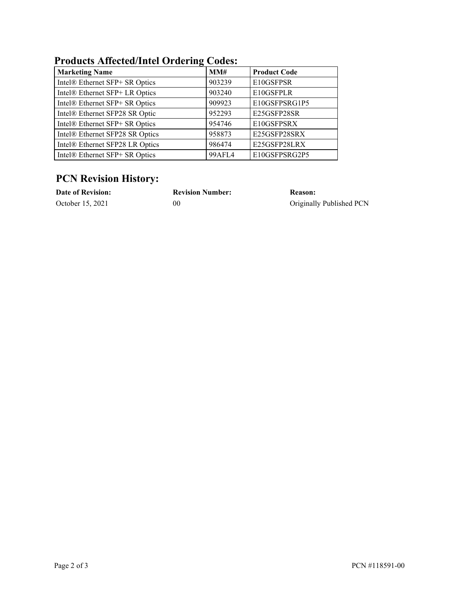## **Products Affected/Intel Ordering Codes:**

| <b>Marketing Name</b>           | MM#    | <b>Product Code</b> |
|---------------------------------|--------|---------------------|
| Intel® Ethernet SFP+ SR Optics  | 903239 | E10GSFPSR           |
| Intel® Ethernet SFP+ LR Optics  | 903240 | E10GSFPLR           |
| Intel® Ethernet SFP+ SR Optics  | 909923 | E10GSFPSRG1P5       |
| Intel® Ethernet SFP28 SR Optic  | 952293 | E25GSFP28SR         |
| Intel® Ethernet SFP+ SR Optics  | 954746 | E10GSFPSRX          |
| Intel® Ethernet SFP28 SR Optics | 958873 | E25GSFP28SRX        |
| Intel® Ethernet SFP28 LR Optics | 986474 | E25GSFP28LRX        |
| Intel® Ethernet SFP+ SR Optics  | 99AFL4 | E10GSFPSRG2P5       |

## **PCN Revision History:**

| <b>Date of Revision:</b> | <b>Revision Number:</b> | Reason:                  |
|--------------------------|-------------------------|--------------------------|
| October 15, 2021         | 00                      | Originally Published PCN |